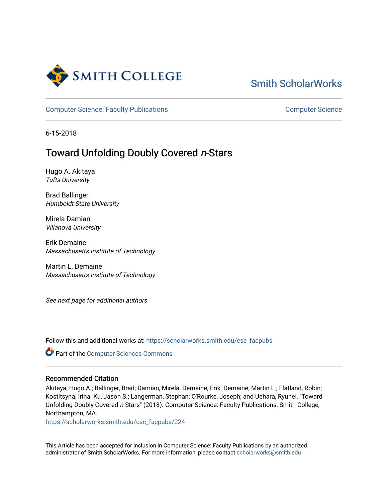

# [Smith ScholarWorks](https://scholarworks.smith.edu/)

[Computer Science: Faculty Publications](https://scholarworks.smith.edu/csc_facpubs) [Computer Science](https://scholarworks.smith.edu/csc) Computer Science

6-15-2018

## Toward Unfolding Doubly Covered n-Stars

Hugo A. Akitaya Tufts University

Brad Ballinger Humboldt State University

Mirela Damian Villanova University

Erik Demaine Massachusetts Institute of Technology

Martin L. Demaine Massachusetts Institute of Technology

See next page for additional authors

Follow this and additional works at: [https://scholarworks.smith.edu/csc\\_facpubs](https://scholarworks.smith.edu/csc_facpubs?utm_source=scholarworks.smith.edu%2Fcsc_facpubs%2F224&utm_medium=PDF&utm_campaign=PDFCoverPages)

**Part of the [Computer Sciences Commons](https://network.bepress.com/hgg/discipline/142?utm_source=scholarworks.smith.edu%2Fcsc_facpubs%2F224&utm_medium=PDF&utm_campaign=PDFCoverPages)** 

#### Recommended Citation

Akitaya, Hugo A.; Ballinger, Brad; Damian, Mirela; Demaine, Erik; Demaine, Martin L.; Flatland, Robin; Kostitsyna, Irina; Ku, Jason S.; Langerman, Stephan; O'Rourke, Joseph; and Uehara, Ryuhei, "Toward Unfolding Doubly Covered n-Stars" (2018). Computer Science: Faculty Publications, Smith College, Northampton, MA.

[https://scholarworks.smith.edu/csc\\_facpubs/224](https://scholarworks.smith.edu/csc_facpubs/224?utm_source=scholarworks.smith.edu%2Fcsc_facpubs%2F224&utm_medium=PDF&utm_campaign=PDFCoverPages)

This Article has been accepted for inclusion in Computer Science: Faculty Publications by an authorized administrator of Smith ScholarWorks. For more information, please contact [scholarworks@smith.edu](mailto:scholarworks@smith.edu)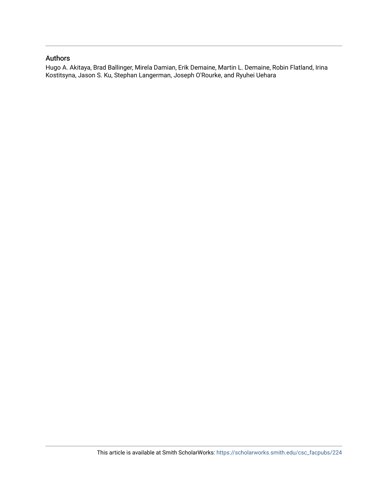#### Authors

Hugo A. Akitaya, Brad Ballinger, Mirela Damian, Erik Demaine, Martin L. Demaine, Robin Flatland, Irina Kostitsyna, Jason S. Ku, Stephan Langerman, Joseph O'Rourke, and Ryuhei Uehara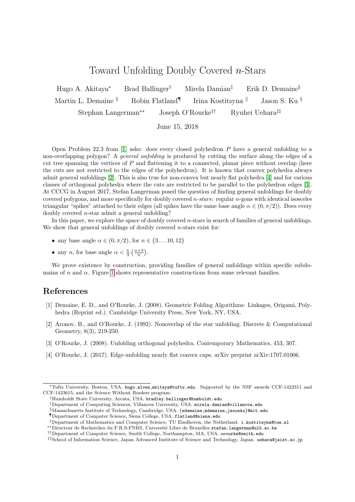### Toward Unfolding Doubly Covered n-Stars

Hugo A. Akitaya<sup>∗</sup> Brad Ballinger† Mirela Damian‡ Erik D. Demaine§ Martin L. Demaine <sup>§</sup> Robin Flatland<sup>¶</sup> Irina Kostitsyna  $\parallel$  Jason S. Ku § Stephan Langerman∗∗ Joseph O'Rourke†† Ryuhei Uehara‡‡

June 15, 2018

Open Problem 22.3 from  $[1]$  asks: does every closed polyhedron P have a general unfolding to a non-overlapping polygon? A *general unfolding* is produced by cutting the surface along the edges of a cut tree spanning the vertices of  $P$  and flattening it to a connected, planar piece without overlap (here the cuts are not restricted to the edges of the polyhedron). It is known that convex polyhedra always admit general unfoldings [\[2\]](#page-2-1). This is also true for non-convex but nearly flat polyhedra [\[4\]](#page-2-2) and for various classes of orthogonal polyhedra where the cuts are restricted to be parallel to the polyhedron edges [\[3\]](#page-2-3). At CCCG in August 2017, Stefan Langerman posed the question of finding general unfoldings for doubly covered polygons, and more specifically for doubly covered n-stars: regular n-gons with identical isosceles triangular "spikes" attached to their edges (all spikes have the same base angle  $\alpha \in (0, \pi/2)$ ). Does every doubly covered n-star admit a general unfolding?

In this paper, we explore the space of doubly covered *n*-stars in search of families of general unfoldings. We show that general unfoldings of doubly covered  $n$ -stars exist for:

- any base angle  $\alpha \in (0, \pi/2)$ , for  $n \in \{3...10, 12\}$
- any *n*, for base angle  $\alpha < \frac{\pi}{3} \left( \frac{n+3}{n} \right)$ .

We prove existence by construction, providing families of general unfoldings within specific subdomains of n and  $\alpha$ . Figure [1](#page-3-0) shows representative constructions from some relevant families.

#### References

- <span id="page-2-0"></span>[1] Demaine, E. D., and O'Rourke, J. (2008). Geometric Folding Algorithms: Linkages, Origami, Polyhedra (Reprint ed.). Cambridge University Press, New York, NY, USA.
- <span id="page-2-1"></span>[2] Aronov, B., and O'Rourke, J. (1992). Nonoverlap of the star unfolding. Discrete & Computational Geometry, 8(3), 219-250.
- <span id="page-2-3"></span>[3] O'Rourke, J. (2008). Unfolding orthogonal polyhedra. Contemporary Mathematics, 453, 307.
- <span id="page-2-2"></span>[4] O'Rourke, J. (2017). Edge-unfolding nearly flat convex caps. arXiv preprint arXiv:1707.01006.

<sup>∗</sup>Tufts University, Boston, USA. hugo.alves akitaya@tufts.edu. Supported by the NSF awards CCF-1422311 and CCF-1423615, and the Science Without Borders program.

<sup>†</sup>Humboldt State University, Arcata, USA. bradley.ballinger@humboldt.edu

<sup>‡</sup>Department of Computing Sciences, Villanova University, USA. mirela.damian@villanova.edu

 $\S$ Massachusetts Institute of Technology, Cambridge, USA. {edemaine,mdemaine,jasonku}@mit.edu

<sup>¶</sup>Department of Computer Science, Siena College, USA. flatland@siena.edu

 $\mathbb{R}$ Department of Mathematics and Computer Science, TU Eindhoven, the Netherland. i.kostitsyna@tue.nl

<sup>∗∗</sup>Directeur de Recherches du F.R.S-FNRS, Universit´e Libre de Bruxelles stefan.langerman@ulb.ac.be

<sup>††</sup>Department of Computer Science, Smith College, Northampton, MA, USA. orourke@smith.edu

<sup>‡‡</sup>School of Information Science, Japan Advanced Institute of Science and Technology, Japan. uehara@jaist.ac.jp